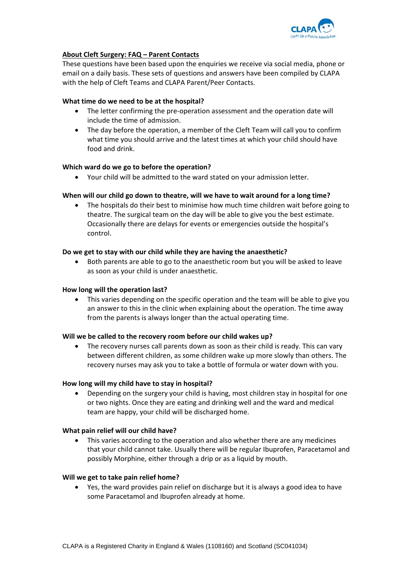

# **About Cleft Surgery: FAQ – Parent Contacts**

These questions have been based upon the enquiries we receive via social media, phone or email on a daily basis. These sets of questions and answers have been compiled by CLAPA with the help of Cleft Teams and CLAPA Parent/Peer Contacts.

### **What time do we need to be at the hospital?**

- The letter confirming the pre-operation assessment and the operation date will include the time of admission.
- The day before the operation, a member of the Cleft Team will call you to confirm what time you should arrive and the latest times at which your child should have food and drink.

### **Which ward do we go to before the operation?**

Your child will be admitted to the ward stated on your admission letter.

# **When will our child go down to theatre, will we have to wait around for a long time?**

 The hospitals do their best to minimise how much time children wait before going to theatre. The surgical team on the day will be able to give you the best estimate. Occasionally there are delays for events or emergencies outside the hospital's control.

# **Do we get to stay with our child while they are having the anaesthetic?**

 Both parents are able to go to the anaesthetic room but you will be asked to leave as soon as your child is under anaesthetic.

### **How long will the operation last?**

 This varies depending on the specific operation and the team will be able to give you an answer to this in the clinic when explaining about the operation. The time away from the parents is always longer than the actual operating time.

### **Will we be called to the recovery room before our child wakes up?**

 The recovery nurses call parents down as soon as their child is ready. This can vary between different children, as some children wake up more slowly than others. The recovery nurses may ask you to take a bottle of formula or water down with you.

### **How long will my child have to stay in hospital?**

 Depending on the surgery your child is having, most children stay in hospital for one or two nights. Once they are eating and drinking well and the ward and medical team are happy, your child will be discharged home.

### **What pain relief will our child have?**

 This varies according to the operation and also whether there are any medicines that your child cannot take. Usually there will be regular Ibuprofen, Paracetamol and possibly Morphine, either through a drip or as a liquid by mouth.

### **Will we get to take pain relief home?**

 Yes, the ward provides pain relief on discharge but it is always a good idea to have some Paracetamol and Ibuprofen already at home.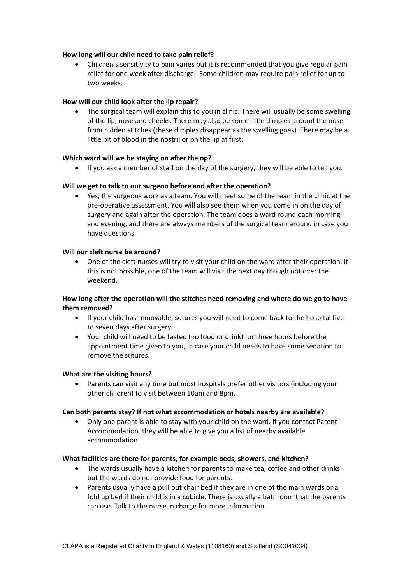### **How long will our child need to take pain relief?**

 Children's sensitivity to pain varies but it is recommended that you give regular pain relief for one week after discharge. Some children may require pain relief for up to two weeks.

### **How will our child look after the lip repair?**

• The surgical team will explain this to you in clinic. There will usually be some swelling of the lip, nose and cheeks. There may also be some little dimples around the nose from hidden stitches (these dimples disappear as the swelling goes). There may be a little bit of blood in the nostril or on the lip at first.

# **Which ward will we be staying on after the op?**

If you ask a member of staff on the day of the surgery, they will be able to tell you.

# **Will we get to talk to our surgeon before and after the operation?**

 Yes, the surgeons work as a team. You will meet some of the team in the clinic at the pre‐operative assessment. You will also see them when you come in on the day of surgery and again after the operation. The team does a ward round each morning and evening, and there are always members of the surgical team around in case you have questions.

### **Will our cleft nurse be around?**

 One of the cleft nurses will try to visit your child on the ward after their operation. If this is not possible, one of the team will visit the next day though not over the weekend.

# **How long after the operation will the stitches need removing and where do we go to have them removed?**

- If your child has removable, sutures you will need to come back to the hospital five to seven days after surgery.
- Your child will need to be fasted (no food or drink) for three hours before the appointment time given to you, in case your child needs to have some sedation to remove the sutures.

### **What are the visiting hours?**

 Parents can visit any time but most hospitals prefer other visitors (including your other children) to visit between 10am and 8pm.

### **Can both parents stay? If not what accommodation or hotels nearby are available?**

 Only one parent is able to stay with your child on the ward. If you contact Parent Accommodation, they will be able to give you a list of nearby available accommodation.

### **What facilities are there for parents, for example beds, showers, and kitchen?**

- The wards usually have a kitchen for parents to make tea, coffee and other drinks but the wards do not provide food for parents.
- Parents usually have a pull out chair bed if they are in one of the main wards or a fold up bed if their child is in a cubicle. There is usually a bathroom that the parents can use. Talk to the nurse in charge for more information.